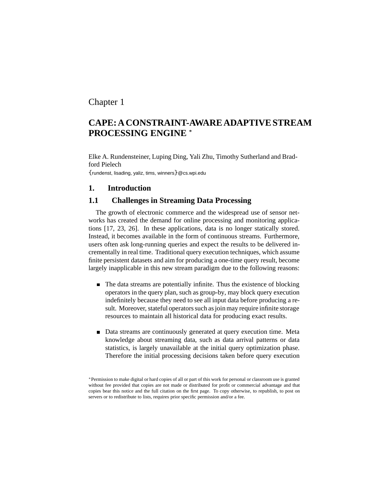# Chapter 1

# **CAPE: A CONSTRAINT-AWARE ADAPTIVE STREAM PROCESSING ENGINE** *<sup>∗</sup>*

Elke A. Rundensteiner, Luping Ding, Yali Zhu, Timothy Sutherland and Bradford Pielech

{rundenst, lisading, yaliz, tims, winners}@cs.wpi.edu

### **1. Introduction**

### **1.1 Challenges in Streaming Data Processing**

The growth of electronic commerce and the widespread use of sensor networks has created the demand for online processing and monitoring applications [17, 23, 26]. In these applications, data is no longer statically stored. Instead, it becomes available in the form of continuous streams. Furthermore, users often ask long-running queries and expect the results to be delivered incrementally in real time. Traditional query execution techniques, which assume finite persistent datasets and aim for producing a one-time query result, become largely inapplicable in this new stream paradigm due to the following reasons:

- The data streams are potentially infinite. Thus the existence of blocking operators in the query plan, such as group-by, may block query execution indefinitely because they need to see all input data before producing a result. Moreover, stateful operators such as join may require infinite storage resources to maintain all historical data for producing exact results.
- Data streams are continuously generated at query execution time. Meta knowledge about streaming data, such as data arrival patterns or data statistics, is largely unavailable at the initial query optimization phase. Therefore the initial processing decisions taken before query execution

<sup>∗</sup>Permission to make digital or hard copies of all or part of this work for personal or classroom use is granted without fee provided that copies are not made or distributed for profit or commercial advantage and that copies bear this notice and the full citation on the first page. To copy otherwise, to republish, to post on servers or to redistribute to lists, requires prior specific permission and/or a fee.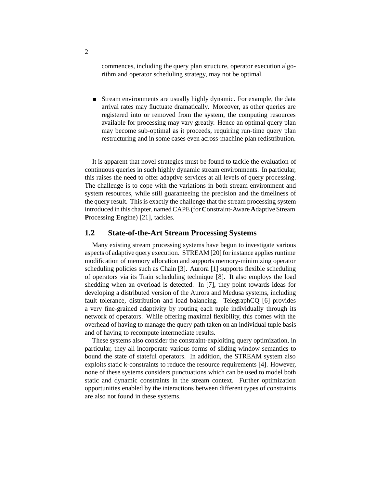commences, including the query plan structure, operator execution algorithm and operator scheduling strategy, may not be optimal.

Stream environments are usually highly dynamic. For example, the data  $\blacksquare$ arrival rates may fluctuate dramatically. Moreover, as other queries are registered into or removed from the system, the computing resources available for processing may vary greatly. Hence an optimal query plan may become sub-optimal as it proceeds, requiring run-time query plan restructuring and in some cases even across-machine plan redistribution.

It is apparent that novel strategies must be found to tackle the evaluation of continuous queries in such highly dynamic stream environments. In particular, this raises the need to offer adaptive services at all levels of query processing. The challenge is to cope with the variations in both stream environment and system resources, while still guaranteeing the precision and the timeliness of the query result. This is exactly the challenge that the stream processing system introduced in this chapter, named CAPE (for**C**onstraint-Aware**A**daptive Stream **P**rocessing **E**ngine) [21], tackles.

### **1.2 State-of-the-Art Stream Processing Systems**

Many existing stream processing systems have begun to investigate various aspects of adaptive query execution. STREAM [20] for instance applies runtime modification of memory allocation and supports memory-minimizing operator scheduling policies such as Chain [3]. Aurora [1] supports flexible scheduling of operators via its Train scheduling technique [8]. It also employs the load shedding when an overload is detected. In [7], they point towards ideas for developing a distributed version of the Aurora and Medusa systems, including fault tolerance, distribution and load balancing. TelegraphCQ [6] provides a very fine-grained adaptivity by routing each tuple individually through its network of operators. While offering maximal flexibility, this comes with the overhead of having to manage the query path taken on an individual tuple basis and of having to recompute intermediate results.

These systems also consider the constraint-exploiting query optimization, in particular, they all incorporate various forms of sliding window semantics to bound the state of stateful operators. In addition, the STREAM system also exploits static k-constraints to reduce the resource requirements [4]. However, none of these systems considers punctuations which can be used to model both static and dynamic constraints in the stream context. Further optimization opportunities enabled by the interactions between different types of constraints are also not found in these systems.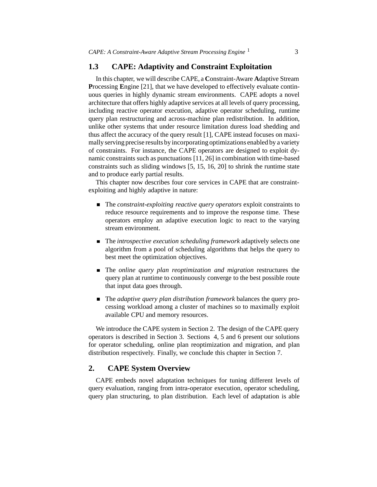### **1.3 CAPE: Adaptivity and Constraint Exploitation**

In this chapter, we will describe CAPE, a **C**onstraint-Aware **A**daptive Stream **P**rocessing **E**ngine [21], that we have developed to effectively evaluate continuous queries in highly dynamic stream environments. CAPE adopts a novel architecture that offers highly adaptive services at all levels of query processing, including reactive operator execution, adaptive operator scheduling, runtime query plan restructuring and across-machine plan redistribution. In addition, unlike other systems that under resource limitation duress load shedding and thus affect the accuracy of the query result [1], CAPE instead focuses on maximally serving precise results by incorporating optimizations enabled by a variety of constraints. For instance, the CAPE operators are designed to exploit dynamic constraints such as punctuations [11, 26] in combination with time-based constraints such as sliding windows [5, 15, 16, 20] to shrink the runtime state and to produce early partial results.

This chapter now describes four core services in CAPE that are constraintexploiting and highly adaptive in nature:

- The *constraint-exploiting reactive query operators* exploit constraints to reduce resource requirements and to improve the response time. These operators employ an adaptive execution logic to react to the varying stream environment.
- The *introspective execution scheduling framework* adaptively selects one algorithm from a pool of scheduling algorithms that helps the query to best meet the optimization objectives.
- The *online query plan reoptimization and migration* restructures the query plan at runtime to continuously converge to the best possible route that input data goes through.
- The *adaptive query plan distribution framework* balances the query processing workload among a cluster of machines so to maximally exploit available CPU and memory resources.

We introduce the CAPE system in Section 2. The design of the CAPE query operators is described in Section 3. Sections 4, 5 and 6 present our solutions for operator scheduling, online plan reoptimization and migration, and plan distribution respectively. Finally, we conclude this chapter in Section 7.

### **2. CAPE System Overview**

CAPE embeds novel adaptation techniques for tuning different levels of query evaluation, ranging from intra-operator execution, operator scheduling, query plan structuring, to plan distribution. Each level of adaptation is able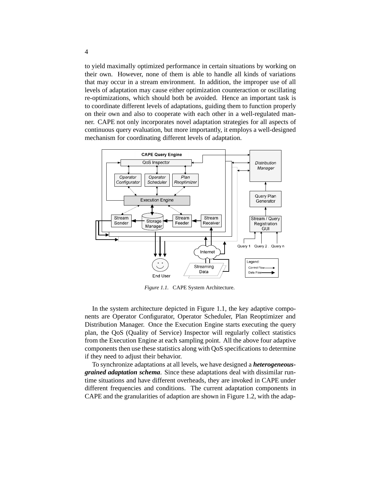to yield maximally optimized performance in certain situations by working on their own. However, none of them is able to handle all kinds of variations that may occur in a stream environment. In addition, the improper use of all levels of adaptation may cause either optimization counteraction or oscillating re-optimizations, which should both be avoided. Hence an important task is to coordinate different levels of adaptations, guiding them to function properly on their own and also to cooperate with each other in a well-regulated manner. CAPE not only incorporates novel adaptation strategies for all aspects of continuous query evaluation, but more importantly, it employs a well-designed mechanism for coordinating different levels of adaptation.



*Figure 1.1.* CAPE System Architecture.

In the system architecture depicted in Figure 1.1, the key adaptive components are Operator Configurator, Operator Scheduler, Plan Reoptimizer and Distribution Manager. Once the Execution Engine starts executing the query plan, the QoS (Quality of Service) Inspector will regularly collect statistics from the Execution Engine at each sampling point. All the above four adaptive components then use these statistics along with QoS specifications to determine if they need to adjust their behavior.

To synchronize adaptations at all levels, we have designed a *heterogeneousgrained adaptation schema*. Since these adaptations deal with dissimilar runtime situations and have different overheads, they are invoked in CAPE under different frequencies and conditions. The current adaptation components in CAPE and the granularities of adaption are shown in Figure 1.2, with the adap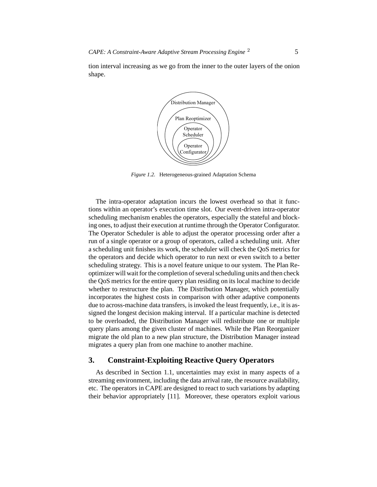tion interval increasing as we go from the inner to the outer layers of the onion shape.



*Figure 1.2.* Heterogeneous-grained Adaptation Schema

The intra-operator adaptation incurs the lowest overhead so that it functions within an operator's execution time slot. Our event-driven intra-operator scheduling mechanism enables the operators, especially the stateful and blocking ones, to adjust their execution at runtime through the Operator Configurator. The Operator Scheduler is able to adjust the operator processing order after a run of a single operator or a group of operators, called a scheduling unit. After a scheduling unit finishes its work, the scheduler will check the QoS metrics for the operators and decide which operator to run next or even switch to a better scheduling strategy. This is a novel feature unique to our system. The Plan Reoptimizer will wait for the completion of several scheduling units and then check the QoS metrics for the entire query plan residing on its local machine to decide whether to restructure the plan. The Distribution Manager, which potentially incorporates the highest costs in comparison with other adaptive components due to across-machine data transfers, is invoked the least frequently, i.e., it is assigned the longest decision making interval. If a particular machine is detected to be overloaded, the Distribution Manager will redistribute one or multiple query plans among the given cluster of machines. While the Plan Reorganizer migrate the old plan to a new plan structure, the Distribution Manager instead migrates a query plan from one machine to another machine.

### **3. Constraint-Exploiting Reactive Query Operators**

As described in Section 1.1, uncertainties may exist in many aspects of a streaming environment, including the data arrival rate, the resource availability, etc. The operators in CAPE are designed to react to such variations by adapting their behavior appropriately [11]. Moreover, these operators exploit various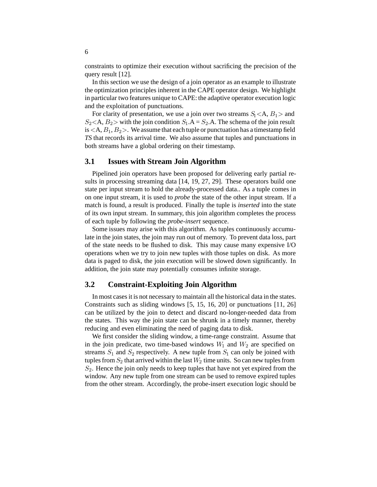constraints to optimize their execution without sacrificing the precision of the query result [12].

In this section we use the design of a join operator as an example to illustrate the optimization principles inherent in the CAPE operator design. We highlight in particular two features unique to CAPE: the adaptive operator execution logic and the exploitation of punctuations.

For clarity of presentation, we use a join over two streams  $S_1 < A$ ,  $B_1 >$  and  $S_2$ <A,  $B_2$ > with the join condition  $S_1$ .A =  $S_2$ .A. The schema of the join result is  $\langle A, B_1, B_2 \rangle$ . We assume that each tuple or punctuation has a timestamp field *TS* that records its arrival time. We also assume that tuples and punctuations in both streams have a global ordering on their timestamp.

### **3.1 Issues with Stream Join Algorithm**

Pipelined join operators have been proposed for delivering early partial results in processing streaming data [14, 19, 27, 29]. These operators build one state per input stream to hold the already-processed data.. As a tuple comes in on one input stream, it is used to *probe* the state of the other input stream. If a match is found, a result is produced. Finally the tuple is *inserted* into the state of its own input stream. In summary, this join algorithm completes the process of each tuple by following the *probe-insert* sequence.

Some issues may arise with this algorithm. As tuples continuously accumulate in the join states, the join may run out of memory. To prevent data loss, part of the state needs to be flushed to disk. This may cause many expensive I/O operations when we try to join new tuples with those tuples on disk. As more data is paged to disk, the join execution will be slowed down significantly. In addition, the join state may potentially consumes infinite storage.

### **3.2 Constraint-Exploiting Join Algorithm**

In most cases it is not necessary to maintain all the historical data in the states. Constraints such as sliding windows [5, 15, 16, 20] or punctuations [11, 26] can be utilized by the join to detect and discard no-longer-needed data from the states. This way the join state can be shrunk in a timely manner, thereby reducing and even eliminating the need of paging data to disk.

We first consider the sliding window, a time-range constraint. Assume that in the join predicate, two time-based windows  $W_1$  and  $W_2$  are specified on streams  $S_1$  and  $S_2$  respectively. A new tuple from  $S_1$  can only be joined with tuples from  $S_2$  that arrived within the last  $W_2$  time units. So can new tuples from  $S<sub>2</sub>$ . Hence the join only needs to keep tuples that have not yet expired from the window. Any new tuple from one stream can be used to remove expired tuples from the other stream. Accordingly, the probe-insert execution logic should be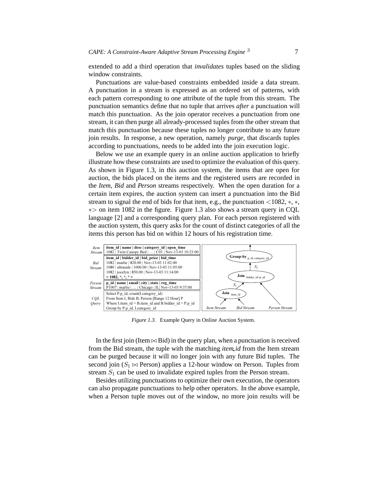extended to add a third operation that *invalidates* tuples based on the sliding window constraints.

Punctuations are value-based constraints embedded inside a data stream. A punctuation in a stream is expressed as an ordered set of patterns, with each pattern corresponding to one attribute of the tuple from this stream. The punctuation semantics define that no tuple that arrives *after* a punctuation will match this punctuation. As the join operator receives a punctuation from one stream, it can then purge all already-processed tuples from the other stream that match this punctuation because these tuples no longer contribute to any future join results. In response, a new operation, namely *purge*, that discards tuples according to punctuations, needs to be added into the join execution logic.

Below we use an example query in an online auction application to briefly illustrate how these constraints are used to optimize the evaluation of this query. As shown in Figure 1.3, in this auction system, the items that are open for auction, the bids placed on the items and the registered users are recorded in the *Item*, *Bid* and *Person* streams respectively. When the open duration for a certain item expires, the auction system can insert a punctuation into the Bid stream to signal the end of bids for that item, e.g., the punctuation  $\langle 1082, *, *, \rangle$ ∗> on item 1082 in the figure. Figure 1.3 also shows a stream query in CQL language [2] and a corresponding query plan. For each person registered with the auction system, this query asks for the count of distinct categories of all the items this person has bid on within 12 hours of his registration time.



*Figure 1.3.* Example Query in Online Auction System.

In the first join (Item  $\bowtie$  Bid) in the query plan, when a punctuation is received from the Bid stream, the tuple with the matching *item id* from the Item stream can be purged because it will no longer join with any future Bid tuples. The second join ( $S_1 \bowtie$  Person) applies a 12-hour window on Person. Tuples from stream  $S_1$  can be used to invalidate expired tuples from the Person stream.

Besides utilizing punctuations to optimize their own execution, the operators can also propagate punctuations to help other operators. In the above example, when a Person tuple moves out of the window, no more join results will be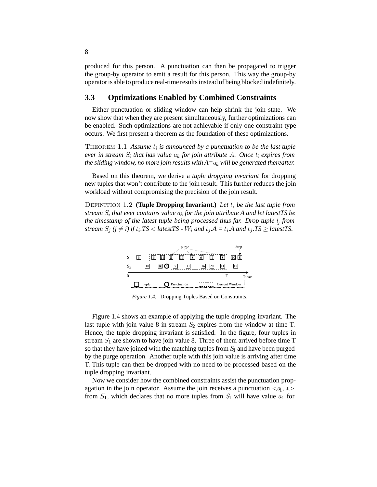produced for this person. A punctuation can then be propagated to trigger the group-by operator to emit a result for this person. This way the group-by operator is able to produce real-time results instead of being blocked indefinitely.

### **3.3 Optimizations Enabled by Combined Constraints**

Either punctuation or sliding window can help shrink the join state. We now show that when they are present simultaneously, further optimizations can be enabled. Such optimizations are not achievable if only one constraint type occurs. We first present a theorem as the foundation of these optimizations.

Theorem 1.1 *Assume* t*i is announced by a punctuation to be the last tuple ever in stream* S*i that has value* a*k for join attribute* A*. Once* t*i expires from the sliding window, no more join results with A=*a*k will be generated thereafter.*

Based on this theorem, we derive a *tuple dropping invariant* for dropping new tuples that won't contribute to the join result. This further reduces the join workload without compromising the precision of the join result.

Definition 1.2 **(Tuple Dropping Invariant.)** *Let* t*i be the last tuple from stream* S*i that ever contains value* a*k for the join attribute A and let latestTS be the timestamp of the latest tuple being processed thus far. Drop tuple* t *j from*  $s$ *tream*  $S_j$  ( $j \neq i$ ) if  $t_i$ *.TS*  $\leq$  *latestTS* -  $W_i$  *and*  $t_j$ *.A* =  $t_i$ *.A and*  $t_j$ *.TS*  $\geq$  *latestTS.* 



*Figure 1.4.* Dropping Tuples Based on Constraints.

Figure 1.4 shows an example of applying the tuple dropping invariant. The last tuple with join value 8 in stream  $S_2$  expires from the window at time T. Hence, the tuple dropping invariant is satisfied. In the figure, four tuples in stream  $S_1$  are shown to have join value 8. Three of them arrived before time T so that they have joined with the matching tuples from  $S<sub>1</sub>$  and have been purged by the purge operation. Another tuple with this join value is arriving after time T. This tuple can then be dropped with no need to be processed based on the tuple dropping invariant.

Now we consider how the combined constraints assist the punctuation propagation in the join operator. Assume the join receives a punctuation  $\langle a_1, * \rangle$ from  $S_1$ , which declares that no more tuples from  $S_1$  will have value  $a_1$  for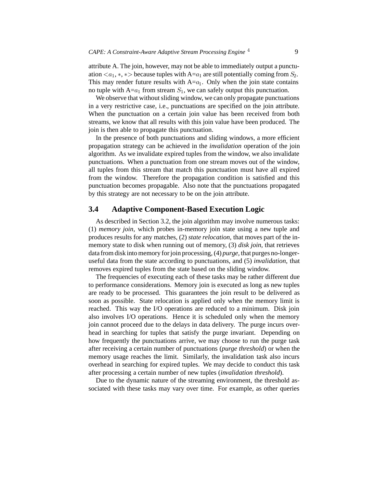attribute A. The join, however, may not be able to immediately output a punctuation  $\langle a_1, *, * \rangle$  because tuples with A= $a_1$  are still potentially coming from  $S_2$ . This may render future results with  $A=a_1$ . Only when the join state contains no tuple with  $A=a_1$  from stream  $S_1$ , we can safely output this punctuation.

We observe that without sliding window, we can only propagate punctuations in a very restrictive case, i.e., punctuations are specified on the join attribute. When the punctuation on a certain join value has been received from both streams, we know that all results with this join value have been produced. The join is then able to propagate this punctuation.

In the presence of both punctuations and sliding windows, a more efficient propagation strategy can be achieved in the *invalidation* operation of the join algorithm. As we invalidate expired tuples from the window, we also invalidate punctuations. When a punctuation from one stream moves out of the window, all tuples from this stream that match this punctuation must have all expired from the window. Therefore the propagation condition is satisfied and this punctuation becomes propagable. Also note that the punctuations propagated by this strategy are not necessary to be on the join attribute.

### **3.4 Adaptive Component-Based Execution Logic**

As described in Section 3.2, the join algorithm may involve numerous tasks: (1) *memory join*, which probes in-memory join state using a new tuple and produces results for any matches, (2) *state relocation*, that moves part of the inmemory state to disk when running out of memory, (3) *disk join*, that retrieves data from disk into memory for join processing, (4) *purge*, that purges no-longeruseful data from the state according to punctuations, and (5) *invalidation*, that removes expired tuples from the state based on the sliding window.

The frequencies of executing each of these tasks may be rather different due to performance considerations. Memory join is executed as long as new tuples are ready to be processed. This guarantees the join result to be delivered as soon as possible. State relocation is applied only when the memory limit is reached. This way the I/O operations are reduced to a minimum. Disk join also involves I/O operations. Hence it is scheduled only when the memory join cannot proceed due to the delays in data delivery. The purge incurs overhead in searching for tuples that satisfy the purge invariant. Depending on how frequently the punctuations arrive, we may choose to run the purge task after receiving a certain number of punctuations (*purge threshold*) or when the memory usage reaches the limit. Similarly, the invalidation task also incurs overhead in searching for expired tuples. We may decide to conduct this task after processing a certain number of new tuples (*invalidation threshold*).

Due to the dynamic nature of the streaming environment, the threshold associated with these tasks may vary over time. For example, as other queries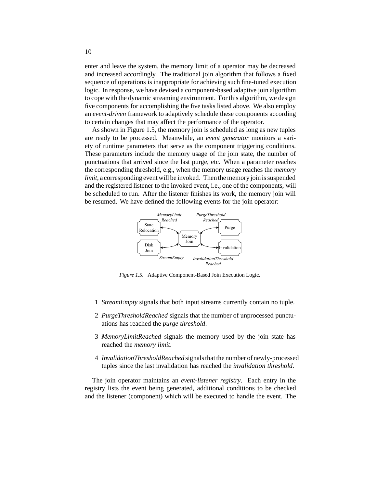enter and leave the system, the memory limit of a operator may be decreased and increased accordingly. The traditional join algorithm that follows a fixed sequence of operations is inappropriate for achieving such fine-tuned execution logic. In response, we have devised a component-based adaptive join algorithm to cope with the dynamic streaming environment. For this algorithm, we design five components for accomplishing the five tasks listed above. We also employ an *event-driven* framework to adaptively schedule these components according to certain changes that may affect the performance of the operator.

As shown in Figure 1.5, the memory join is scheduled as long as new tuples are ready to be processed. Meanwhile, an *event generator* monitors a variety of runtime parameters that serve as the component triggering conditions. These parameters include the memory usage of the join state, the number of punctuations that arrived since the last purge, etc. When a parameter reaches the corresponding threshold, e.g., when the memory usage reaches the *memory limit*, a corresponding event will be invoked. Then the memory join is suspended and the registered listener to the invoked event, i.e., one of the components, will be scheduled to run. After the listener finishes its work, the memory join will be resumed. We have defined the following events for the join operator:



*Figure 1.5.* Adaptive Component-Based Join Execution Logic.

- 1 *StreamEmpty* signals that both input streams currently contain no tuple.
- 2 *PurgeThresholdReached* signals that the number of unprocessed punctuations has reached the *purge threshold*.
- 3 *MemoryLimitReached* signals the memory used by the join state has reached the *memory limit*.
- 4 *InvalidationThresholdReached* signals that the number of newly-processed tuples since the last invalidation has reached the *invalidation threshold*.

The join operator maintains an *event-listener registry*. Each entry in the registry lists the event being generated, additional conditions to be checked and the listener (component) which will be executed to handle the event. The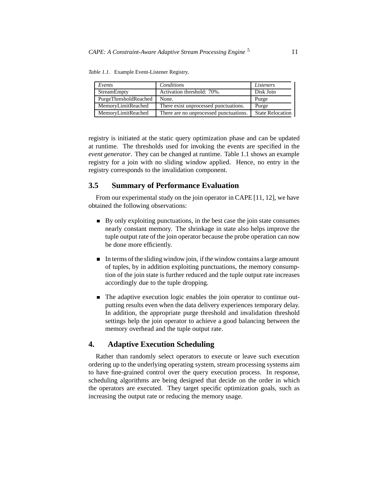| Events                | Conditions                             | Listeners               |
|-----------------------|----------------------------------------|-------------------------|
| StreamEmpty           | Activation threshold: 70%.             | Disk Join               |
| PurgeThresholdReached | None.                                  | Purge                   |
| MemoryLimitReached    | There exist unprocessed punctuations.  | Purge                   |
| MemoryLimitReached    | There are no unprocessed punctuations. | <b>State Relocation</b> |

*Table 1.1.* Example Event-Listener Registry.

registry is initiated at the static query optimization phase and can be updated at runtime. The thresholds used for invoking the events are specified in the *event generator*. They can be changed at runtime. Table 1.1 shows an example registry for a join with no sliding window applied. Hence, no entry in the registry corresponds to the invalidation component.

### **3.5 Summary of Performance Evaluation**

From our experimental study on the join operator in CAPE [11, 12], we have obtained the following observations:

- $\blacksquare$  By only exploiting punctuations, in the best case the join state consumes nearly constant memory. The shrinkage in state also helps improve the tuple output rate of the join operator because the probe operation can now be done more efficiently.
- $\blacksquare$  In terms of the sliding window join, if the window contains a large amount of tuples, by in addition exploiting punctuations, the memory consumption of the join state is further reduced and the tuple output rate increases accordingly due to the tuple dropping.
- The adaptive execution logic enables the join operator to continue outputting results even when the data delivery experiences temporary delay. In addition, the appropriate purge threshold and invalidation threshold settings help the join operator to achieve a good balancing between the memory overhead and the tuple output rate.

### **4. Adaptive Execution Scheduling**

Rather than randomly select operators to execute or leave such execution ordering up to the underlying operating system, stream processing systems aim to have fine-grained control over the query execution process. In response, scheduling algorithms are being designed that decide on the order in which the operators are executed. They target specific optimization goals, such as increasing the output rate or reducing the memory usage.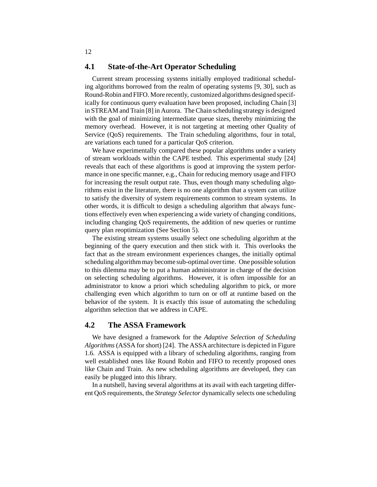#### **4.1 State-of-the-Art Operator Scheduling**

Current stream processing systems initially employed traditional scheduling algorithms borrowed from the realm of operating systems [9, 30], such as Round-Robin and FIFO. More recently, customized algorithms designed specifically for continuous query evaluation have been proposed, including Chain [3] in STREAM and Train [8] in Aurora. The Chain scheduling strategy is designed with the goal of minimizing intermediate queue sizes, thereby minimizing the memory overhead. However, it is not targeting at meeting other Quality of Service (QoS) requirements. The Train scheduling algorithms, four in total, are variations each tuned for a particular QoS criterion.

We have experimentally compared these popular algorithms under a variety of stream workloads within the CAPE testbed. This experimental study [24] reveals that each of these algorithms is good at improving the system performance in one specific manner, e.g., Chain for reducing memory usage and FIFO for increasing the result output rate. Thus, even though many scheduling algorithms exist in the literature, there is no one algorithm that a system can utilize to satisfy the diversity of system requirements common to stream systems. In other words, it is difficult to design a scheduling algorithm that always functions effectively even when experiencing a wide variety of changing conditions, including changing QoS requirements, the addition of new queries or runtime query plan reoptimization (See Section 5).

The existing stream systems usually select one scheduling algorithm at the beginning of the query execution and then stick with it. This overlooks the fact that as the stream environment experiences changes, the initially optimal scheduling algorithm may become sub-optimal over time. One possible solution to this dilemma may be to put a human administrator in charge of the decision on selecting scheduling algorithms. However, it is often impossible for an administrator to know a priori which scheduling algorithm to pick, or more challenging even which algorithm to turn on or off at runtime based on the behavior of the system. It is exactly this issue of automating the scheduling algorithm selection that we address in CAPE.

#### **4.2 The ASSA Framework**

We have designed a framework for the *Adaptive Selection of Scheduling Algorithms* (ASSA for short) [24]. The ASSA architecture is depicted in Figure 1.6. ASSA is equipped with a library of scheduling algorithms, ranging from well established ones like Round Robin and FIFO to recently proposed ones like Chain and Train. As new scheduling algorithms are developed, they can easily be plugged into this library.

In a nutshell, having several algorithms at its avail with each targeting different QoS requirements, the *Strategy Selector* dynamically selects one scheduling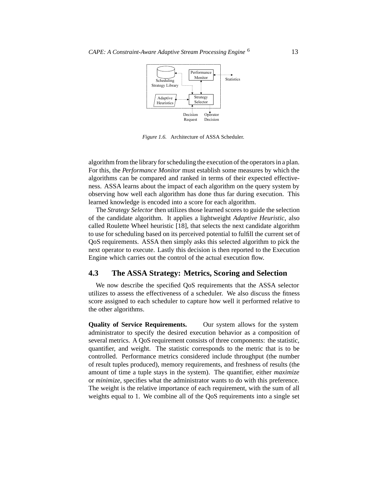

*Figure 1.6.* Architecture of ASSA Scheduler.

algorithm from the library for scheduling the execution of the operators in a plan. For this, the *Performance Monitor* must establish some measures by which the algorithms can be compared and ranked in terms of their expected effectiveness. ASSA learns about the impact of each algorithm on the query system by observing how well each algorithm has done thus far during execution. This learned knowledge is encoded into a score for each algorithm.

The *Strategy Selector* then utilizes those learned scores to guide the selection of the candidate algorithm. It applies a lightweight *Adaptive Heuristic*, also called Roulette Wheel heuristic [18], that selects the next candidate algorithm to use for scheduling based on its perceived potential to fulfill the current set of QoS requirements. ASSA then simply asks this selected algorithm to pick the next operator to execute. Lastly this decision is then reported to the Execution Engine which carries out the control of the actual execution flow.

#### **4.3 The ASSA Strategy: Metrics, Scoring and Selection**

We now describe the specified QoS requirements that the ASSA selector utilizes to assess the effectiveness of a scheduler. We also discuss the fitness score assigned to each scheduler to capture how well it performed relative to the other algorithms.

**Quality of Service Requirements.** Our system allows for the system administrator to specify the desired execution behavior as a composition of several metrics. A QoS requirement consists of three components: the statistic, quantifier, and weight. The statistic corresponds to the metric that is to be controlled. Performance metrics considered include throughput (the number of result tuples produced), memory requirements, and freshness of results (the amount of time a tuple stays in the system). The quantifier, either *maximize* or *minimize*, specifies what the administrator wants to do with this preference. The weight is the relative importance of each requirement, with the sum of all weights equal to 1. We combine all of the QoS requirements into a single set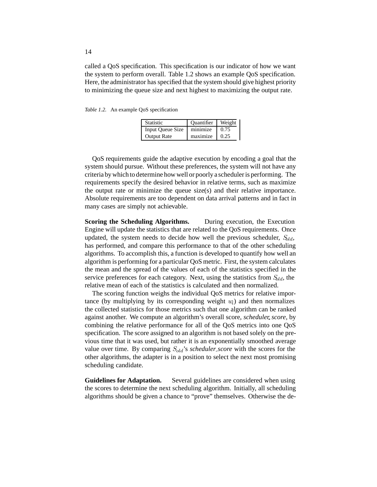called a QoS specification. This specification is our indicator of how we want the system to perform overall. Table 1.2 shows an example QoS specification. Here, the administrator has specified that the system should give highest priority to minimizing the queue size and next highest to maximizing the output rate.

*Table 1.2.* An example QoS specification

| <b>Statistic</b>        | Quantifier | Weight |
|-------------------------|------------|--------|
| <b>Input Queue Size</b> | minimize   | 0.75   |
| <b>Output Rate</b>      | maximize   | 0.25   |

QoS requirements guide the adaptive execution by encoding a goal that the system should pursue. Without these preferences, the system will not have any criteria by which to determine how well or poorly a scheduler is performing. The requirements specify the desired behavior in relative terms, such as maximize the output rate or minimize the queue size(s) and their relative importance. Absolute requirements are too dependent on data arrival patterns and in fact in many cases are simply not achievable.

**Scoring the Scheduling Algorithms.** During execution, the Execution Engine will update the statistics that are related to the QoS requirements. Once updated, the system needs to decide how well the previous scheduler,  $S_{old}$ , has performed, and compare this performance to that of the other scheduling algorithms. To accomplish this, a function is developed to quantify how well an algorithm is performing for a particular QoS metric. First, the system calculates the mean and the spread of the values of each of the statistics specified in the service preferences for each category. Next, using the statistics from  $S_{dd}$ , the relative mean of each of the statistics is calculated and then normalized.

The scoring function weighs the individual QoS metrics for relative importance (by multiplying by its corresponding weight  $w_i$ ) and then normalizes the collected statistics for those metrics such that one algorithm can be ranked against another. We compute an algorithm's overall score, *scheduler score*, by combining the relative performance for all of the QoS metrics into one QoS specification. The score assigned to an algorithm is not based solely on the previous time that it was used, but rather it is an exponentially smoothed average value over time. By comparing S*old*'s *scheduler score* with the scores for the other algorithms, the adapter is in a position to select the next most promising scheduling candidate.

**Guidelines for Adaptation.** Several guidelines are considered when using the scores to determine the next scheduling algorithm. Initially, all scheduling algorithms should be given a chance to "prove" themselves. Otherwise the de-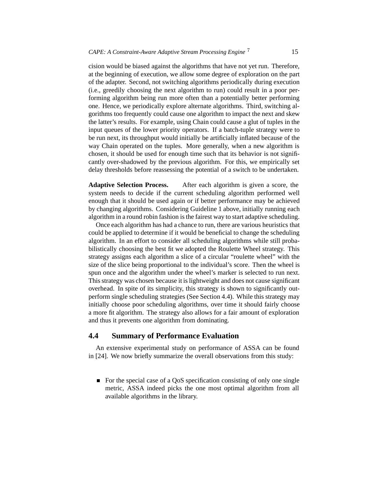cision would be biased against the algorithms that have not yet run. Therefore, at the beginning of execution, we allow some degree of exploration on the part of the adapter. Second, not switching algorithms periodically during execution (i.e., greedily choosing the next algorithm to run) could result in a poor performing algorithm being run more often than a potentially better performing one. Hence, we periodically explore alternate algorithms. Third, switching algorithms too frequently could cause one algorithm to impact the next and skew the latter's results. For example, using Chain could cause a glut of tuples in the input queues of the lower priority operators. If a batch-tuple strategy were to be run next, its throughput would initially be artificially inflated because of the way Chain operated on the tuples. More generally, when a new algorithm is chosen, it should be used for enough time such that its behavior is not significantly over-shadowed by the previous algorithm. For this, we empirically set delay thresholds before reassessing the potential of a switch to be undertaken.

**Adaptive Selection Process.** After each algorithm is given a score, the system needs to decide if the current scheduling algorithm performed well enough that it should be used again or if better performance may be achieved by changing algorithms. Considering Guideline 1 above, initially running each algorithm in a round robin fashion is the fairest way to start adaptive scheduling.

Once each algorithm has had a chance to run, there are various heuristics that could be applied to determine if it would be beneficial to change the scheduling algorithm. In an effort to consider all scheduling algorithms while still probabilistically choosing the best fit we adopted the Roulette Wheel strategy. This strategy assigns each algorithm a slice of a circular "roulette wheel" with the size of the slice being proportional to the individual's score. Then the wheel is spun once and the algorithm under the wheel's marker is selected to run next. This strategy was chosen because it is lightweight and does not cause significant overhead. In spite of its simplicity, this strategy is shown to significantly outperform single scheduling strategies (See Section 4.4). While this strategy may initially choose poor scheduling algorithms, over time it should fairly choose a more fit algorithm. The strategy also allows for a fair amount of exploration and thus it prevents one algorithm from dominating.

### **4.4 Summary of Performance Evaluation**

An extensive experimental study on performance of ASSA can be found in [24]. We now briefly summarize the overall observations from this study:

For the special case of a QoS specification consisting of only one single metric, ASSA indeed picks the one most optimal algorithm from all available algorithms in the library.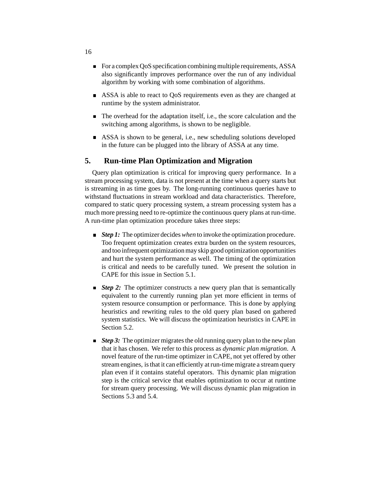- For a complex OoS specification combining multiple requirements, ASSA also significantly improves performance over the run of any individual algorithm by working with some combination of algorithms.
- ASSA is able to react to QoS requirements even as they are changed at runtime by the system administrator.
- The overhead for the adaptation itself, i.e., the score calculation and the switching among algorithms, is shown to be negligible.
- ASSA is shown to be general, i.e., new scheduling solutions developed in the future can be plugged into the library of ASSA at any time.

### **5. Run-time Plan Optimization and Migration**

Query plan optimization is critical for improving query performance. In a stream processing system, data is not present at the time when a query starts but is streaming in as time goes by. The long-running continuous queries have to withstand fluctuations in stream workload and data characteristics. Therefore, compared to static query processing system, a stream processing system has a much more pressing need to re-optimize the continuous query plans at run-time. A run-time plan optimization procedure takes three steps:

- *Step 1*: The optimizer decides *when* to invoke the optimization procedure. Too frequent optimization creates extra burden on the system resources, and too infrequent optimization may skip good optimization opportunities and hurt the system performance as well. The timing of the optimization is critical and needs to be carefully tuned. We present the solution in CAPE for this issue in Section 5.1.
- **Step 2:** The optimizer constructs a new query plan that is semantically equivalent to the currently running plan yet more efficient in terms of system resource consumption or performance. This is done by applying heuristics and rewriting rules to the old query plan based on gathered system statistics. We will discuss the optimization heuristics in CAPE in Section 5.2.
- *Step 3:* The optimizer migrates the old running query plan to the new plan that it has chosen. We refer to this process as *dynamic plan migration*. A novel feature of the run-time optimizer in CAPE, not yet offered by other stream engines, is that it can efficiently at run-time migrate a stream query plan even if it contains stateful operators. This dynamic plan migration step is the critical service that enables optimization to occur at runtime for stream query processing. We will discuss dynamic plan migration in Sections 5.3 and 5.4.

16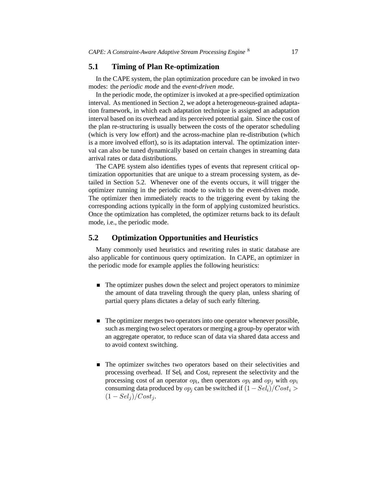### **5.1 Timing of Plan Re-optimization**

In the CAPE system, the plan optimization procedure can be invoked in two modes: the *periodic mode* and the *event-driven mode*.

In the periodic mode, the optimizer is invoked at a pre-specified optimization interval. As mentioned in Section 2, we adopt a heterogeneous-grained adaptation framework, in which each adaptation technique is assigned an adaptation interval based on its overhead and its perceived potential gain. Since the cost of the plan re-structuring is usually between the costs of the operator scheduling (which is very low effort) and the across-machine plan re-distribution (which is a more involved effort), so is its adaptation interval. The optimization interval can also be tuned dynamically based on certain changes in streaming data arrival rates or data distributions.

The CAPE system also identifies types of events that represent critical optimization opportunities that are unique to a stream processing system, as detailed in Section 5.2. Whenever one of the events occurs, it will trigger the optimizer running in the periodic mode to switch to the event-driven mode. The optimizer then immediately reacts to the triggering event by taking the corresponding actions typically in the form of applying customized heuristics. Once the optimization has completed, the optimizer returns back to its default mode, i.e., the periodic mode.

### **5.2 Optimization Opportunities and Heuristics**

Many commonly used heuristics and rewriting rules in static database are also applicable for continuous query optimization. In CAPE, an optimizer in the periodic mode for example applies the following heuristics:

- The optimizer pushes down the select and project operators to minimize the amount of data traveling through the query plan, unless sharing of partial query plans dictates a delay of such early filtering.
- The optimizer merges two operators into one operator whenever possible, such as merging two select operators or merging a group-by operator with an aggregate operator, to reduce scan of data via shared data access and to avoid context switching.
- $\blacksquare$ The optimizer switches two operators based on their selectivities and processing overhead. If Sel*i* and Cost*i* represent the selectivity and the processing cost of an operator  $op_i$ , then operators  $op_i$  and  $op_j$  with  $op_i$ consuming data produced by  $op_i$  can be switched if  $(1 - Sel_i)/Cost_i$  >  $(1 - Sel<sub>i</sub>)/Cost<sub>i</sub>$ .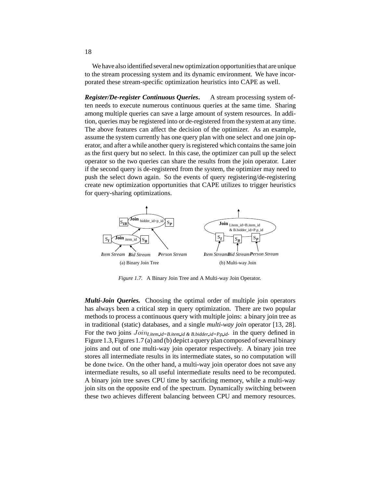We have also identified several new optimization opportunities that are unique to the stream processing system and its dynamic environment. We have incorporated these stream-specific optimization heuristics into CAPE as well.

*Register/De-register Continuous Queries***.** A stream processing system often needs to execute numerous continuous queries at the same time. Sharing among multiple queries can save a large amount of system resources. In addition, queries may be registered into or de-registered from the system at any time. The above features can affect the decision of the optimizer. As an example, assume the system currently has one query plan with one select and one join operator, and after a while another query is registered which contains the same join as the first query but no select. In this case, the optimizer can pull up the select operator so the two queries can share the results from the join operator. Later if the second query is de-registered from the system, the optimizer may need to push the select down again. So the events of query registering/de-registering create new optimization opportunities that CAPE utilizes to trigger heuristics for query-sharing optimizations.



*Figure 1.7.* A Binary Join Tree and A Multi-way Join Operator.

*Multi-Join Queries.* Choosing the optimal order of multiple join operators has always been a critical step in query optimization. There are two popular methods to process a continuous query with multiple joins: a binary join tree as in traditional (static) databases, and a single *multi-way join* operator [13, 28]. For the two joins Join*I.item id=B.item id & B.bidder id=P.p id*. in the query defined in Figure 1.3, Figures 1.7 (a) and (b) depict a query plan composed of several binary joins and out of one multi-way join operator respectively. A binary join tree stores all intermediate results in its intermediate states, so no computation will be done twice. On the other hand, a multi-way join operator does not save any intermediate results, so all useful intermediate results need to be recomputed. A binary join tree saves CPU time by sacrificing memory, while a multi-way join sits on the opposite end of the spectrum. Dynamically switching between these two achieves different balancing between CPU and memory resources.

18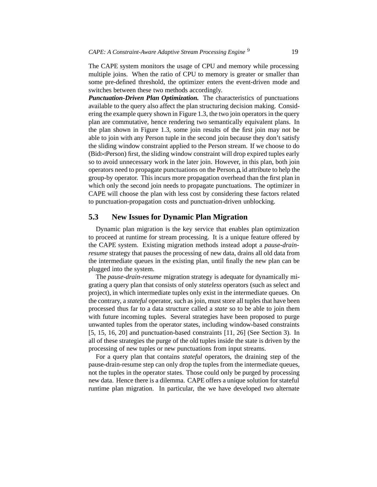The CAPE system monitors the usage of CPU and memory while processing multiple joins. When the ratio of CPU to memory is greater or smaller than some pre-defined threshold, the optimizer enters the event-driven mode and switches between these two methods accordingly.

*Punctuation-Driven Plan Optimization.* The characteristics of punctuations available to the query also affect the plan structuring decision making. Considering the example query shown in Figure 1.3, the two join operators in the query plan are commutative, hence rendering two semantically equivalent plans. In the plan shown in Figure 1.3, some join results of the first join may not be able to join with any Person tuple in the second join because they don't satisfy the sliding window constraint applied to the Person stream. If we choose to do (Bid $\bowtie$ Person) first, the sliding window constraint will drop expired tuples early so to avoid unnecessary work in the later join. However, in this plan, both join operators need to propagate punctuations on the Person.p id attribute to help the group-by operator. This incurs more propagation overhead than the first plan in which only the second join needs to propagate punctuations. The optimizer in CAPE will choose the plan with less cost by considering these factors related to punctuation-propagation costs and punctuation-driven unblocking.

### **5.3 New Issues for Dynamic Plan Migration**

Dynamic plan migration is the key service that enables plan optimization to proceed at runtime for stream processing. It is a unique feature offered by the CAPE system. Existing migration methods instead adopt a *pause-drainresume* strategy that pauses the processing of new data, drains all old data from the intermediate queues in the existing plan, until finally the new plan can be plugged into the system.

The *pause-drain-resume* migration strategy is adequate for dynamically migrating a query plan that consists of only *stateless* operators (such as select and project), in which intermediate tuples only exist in the intermediate queues. On the contrary, a *stateful* operator, such as join, must store all tuples that have been processed thus far to a data structure called a *state* so to be able to join them with future incoming tuples. Several strategies have been proposed to purge unwanted tuples from the operator states, including window-based constraints [5, 15, 16, 20] and punctuation-based constraints [11, 26] (See Section 3). In all of these strategies the purge of the old tuples inside the state is driven by the processing of new tuples or new punctuations from input streams.

For a query plan that contains *stateful* operators, the draining step of the pause-drain-resume step can only drop the tuples from the intermediate queues, not the tuples in the operator states. Those could only be purged by processing new data. Hence there is a dilemma. CAPE offers a unique solution for stateful runtime plan migration. In particular, the we have developed two alternate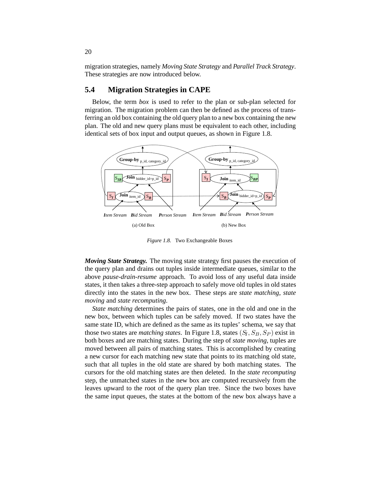migration strategies, namely *Moving State Strategy* and *Parallel Track Strategy*. These strategies are now introduced below.

### **5.4 Migration Strategies in CAPE**

Below, the term *box* is used to refer to the plan or sub-plan selected for migration. The migration problem can then be defined as the process of transferring an old box containing the old query plan to a new box containing the new plan. The old and new query plans must be equivalent to each other, including identical sets of box input and output queues, as shown in Figure 1.8.



*Figure 1.8.* Two Exchangeable Boxes

*Moving State Strategy.* The moving state strategy first pauses the execution of the query plan and drains out tuples inside intermediate queues, similar to the above *pause-drain-resume* approach. To avoid loss of any useful data inside states, it then takes a three-step approach to safely move old tuples in old states directly into the states in the new box. These steps are *state matching*, *state moving* and *state recomputing*.

*State matching* determines the pairs of states, one in the old and one in the new box, between which tuples can be safely moved. If two states have the same state ID, which are defined as the same as its tuples' schema, we say that those two states are *matching states*. In Figure 1.8, states  $(S_I, S_B, S_P)$  exist in both boxes and are matching states. During the step of *state moving*, tuples are moved between all pairs of matching states. This is accomplished by creating a new cursor for each matching new state that points to its matching old state, such that all tuples in the old state are shared by both matching states. The cursors for the old matching states are then deleted. In the *state recomputing* step, the unmatched states in the new box are computed recursively from the leaves upward to the root of the query plan tree. Since the two boxes have the same input queues, the states at the bottom of the new box always have a

20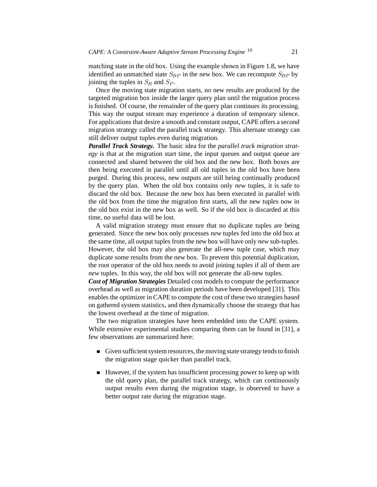matching state in the old box. Using the example shown in Figure 1.8, we have identified an unmatched state  $S_{BP}$  in the new box. We can recompute  $S_{BP}$  by joining the tuples in S*B* and S*P* .

Once the moving state migration starts, no new results are produced by the targeted migration box inside the larger query plan until the migration process is finished. Of course, the remainder of the query plan continues its processing. This way the output stream may experience a duration of temporary silence. For applications that desire a smooth and constant output, CAPE offers a second migration strategy called the parallel track strategy. This alternate strategy can still deliver output tuples even during migration.

*Parallel Track Strategy.* The basic idea for the *parallel track migration strategy* is that at the migration start time, the input queues and output queue are connected and shared between the old box and the new box. Both boxes are then being executed in parallel until all old tuples in the old box have been purged. During this process, new outputs are still being continually produced by the query plan. When the old box contains only *new* tuples, it is safe to discard the old box. Because the new box has been executed in parallel with the old box from the time the migration first starts, all the new tuples now in the old box exist in the new box as well. So if the old box is discarded at this time, no useful data will be lost.

A valid migration strategy must ensure that no duplicate tuples are being generated. Since the new box only processes *new* tuples fed into the old box at the same time, all output tuples from the new box will have only *new* sub-tuples. However, the old box may also generate the all-new tuple case, which may duplicate some results from the new box. To prevent this potential duplication, the root operator of the old box needs to avoid joining tuples if all of them are *new* tuples. In this way, the old box will not generate the all-new tuples.

*Cost of Migration Strategies* Detailed cost models to compute the performance overhead as well as migration duration periods have been developed [31]. This enables the optimizer in CAPE to compute the cost of these two strategies based on gathered system statistics, and then dynamically choose the strategy that has the lowest overhead at the time of migration.

The two migration strategies have been embedded into the CAPE system. While extensive experimental studies comparing them can be found in [31], a few observations are summarized here:

- Given sufficient system resources, the moving state strategy tends to finish the migration stage quicker than parallel track.
- However, if the system has insufficient processing power to keep up with the old query plan, the parallel track strategy, which can continuously output results even during the migration stage, is observed to have a better output rate during the migration stage.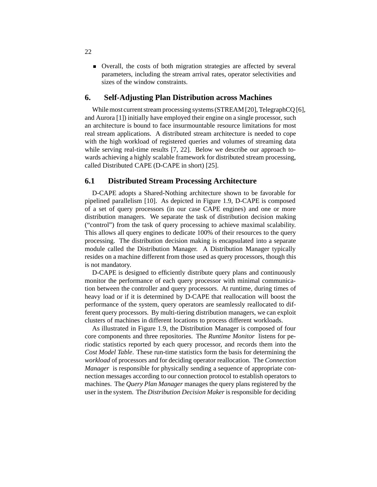Overall, the costs of both migration strategies are affected by several parameters, including the stream arrival rates, operator selectivities and sizes of the window constraints.

### **6. Self-Adjusting Plan Distribution across Machines**

While most current stream processing systems (STREAM [20], TelegraphCQ [6], and Aurora [1]) initially have employed their engine on a single processor, such an architecture is bound to face insurmountable resource limitations for most real stream applications. A distributed stream architecture is needed to cope with the high workload of registered queries and volumes of streaming data while serving real-time results [7, 22]. Below we describe our approach towards achieving a highly scalable framework for distributed stream processing, called Distributed CAPE (D-CAPE in short) [25].

#### **6.1 Distributed Stream Processing Architecture**

D-CAPE adopts a Shared-Nothing architecture shown to be favorable for pipelined parallelism [10]. As depicted in Figure 1.9, D-CAPE is composed of a set of query processors (in our case CAPE engines) and one or more distribution managers. We separate the task of distribution decision making ("control") from the task of query processing to achieve maximal scalability. This allows all query engines to dedicate 100% of their resources to the query processing. The distribution decision making is encapsulated into a separate module called the Distribution Manager. A Distribution Manager typically resides on a machine different from those used as query processors, though this is not mandatory.

D-CAPE is designed to efficiently distribute query plans and continuously monitor the performance of each query processor with minimal communication between the controller and query processors. At runtime, during times of heavy load or if it is determined by D-CAPE that reallocation will boost the performance of the system, query operators are seamlessly reallocated to different query processors. By multi-tiering distribution managers, we can exploit clusters of machines in different locations to process different workloads.

As illustrated in Figure 1.9, the Distribution Manager is composed of four core components and three repositories. The *Runtime Monitor* listens for periodic statistics reported by each query processor, and records them into the *Cost Model Table*. These run-time statistics form the basis for determining the *workload* of processors and for deciding operator reallocation. The *Connection Manager* is responsible for physically sending a sequence of appropriate connection messages according to our connection protocol to establish operators to machines. The *Query Plan Manager* manages the query plans registered by the user in the system. The *Distribution Decision Maker* is responsible for deciding

22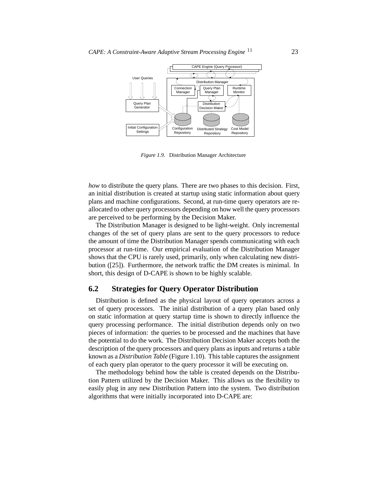

*Figure 1.9.* Distribution Manager Architecture

*how* to distribute the query plans. There are two phases to this decision. First, an initial distribution is created at startup using static information about query plans and machine configurations. Second, at run-time query operators are reallocated to other query processors depending on how well the query processors are perceived to be performing by the Decision Maker.

The Distribution Manager is designed to be light-weight. Only incremental changes of the set of query plans are sent to the query processors to reduce the amount of time the Distribution Manager spends communicating with each processor at run-time. Our empirical evaluation of the Distribution Manager shows that the CPU is rarely used, primarily, only when calculating new distribution ([25]). Furthermore, the network traffic the DM creates is minimal. In short, this design of D-CAPE is shown to be highly scalable.

### **6.2 Strategies for Query Operator Distribution**

Distribution is defined as the physical layout of query operators across a set of query processors. The initial distribution of a query plan based only on static information at query startup time is shown to directly influence the query processing performance. The initial distribution depends only on two pieces of information: the queries to be processed and the machines that have the potential to do the work. The Distribution Decision Maker accepts both the description of the query processors and query plans as inputs and returns a table known as a *Distribution Table* (Figure 1.10). This table captures the assignment of each query plan operator to the query processor it will be executing on.

The methodology behind how the table is created depends on the Distribution Pattern utilized by the Decision Maker. This allows us the flexibility to easily plug in any new Distribution Pattern into the system. Two distribution algorithms that were initially incorporated into D-CAPE are: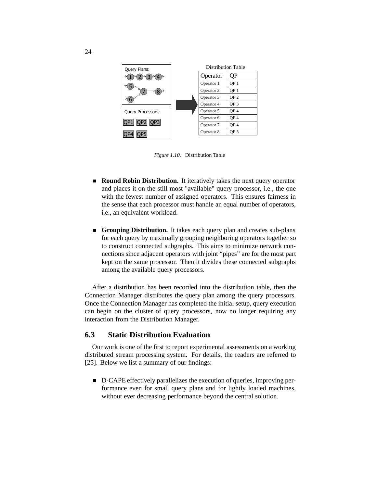

*Figure 1.10.* Distribution Table

- **Round Robin Distribution.** It iteratively takes the next query operator  $\blacksquare$ and places it on the still most "available" query processor, i.e., the one with the fewest number of assigned operators. This ensures fairness in the sense that each processor must handle an equal number of operators, i.e., an equivalent workload.
- **Grouping Distribution.** It takes each query plan and creates sub-plans for each query by maximally grouping neighboring operators together so to construct connected subgraphs. This aims to minimize network connections since adjacent operators with joint "pipes" are for the most part kept on the same processor. Then it divides these connected subgraphs among the available query processors.

After a distribution has been recorded into the distribution table, then the Connection Manager distributes the query plan among the query processors. Once the Connection Manager has completed the initial setup, query execution can begin on the cluster of query processors, now no longer requiring any interaction from the Distribution Manager.

### **6.3 Static Distribution Evaluation**

Our work is one of the first to report experimental assessments on a working distributed stream processing system. For details, the readers are referred to [25]. Below we list a summary of our findings:

D-CAPE effectively parallelizes the execution of queries, improving performance even for small query plans and for lightly loaded machines, without ever decreasing performance beyond the central solution.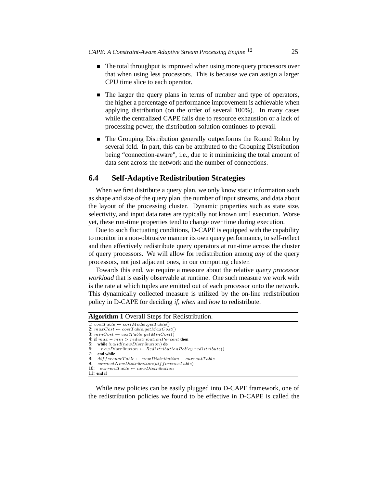- The total throughput is improved when using more query processors over that when using less processors. This is because we can assign a larger CPU time slice to each operator.
- The larger the query plans in terms of number and type of operators, the higher a percentage of performance improvement is achievable when applying distribution (on the order of several 100%). In many cases while the centralized CAPE fails due to resource exhaustion or a lack of processing power, the distribution solution continues to prevail.
- The Grouping Distribution generally outperforms the Round Robin by several fold. In part, this can be attributed to the Grouping Distribution being "connection-aware", i.e., due to it minimizing the total amount of data sent across the network and the number of connections.

### **6.4 Self-Adaptive Redistribution Strategies**

When we first distribute a query plan, we only know static information such as shape and size of the query plan, the number of input streams, and data about the layout of the processing cluster. Dynamic properties such as state size, selectivity, and input data rates are typically not known until execution. Worse yet, these run-time properties tend to change over time during execution.

Due to such fluctuating conditions, D-CAPE is equipped with the capability to monitor in a non-obtrusive manner its own query performance, to self-reflect and then effectively redistribute query operators at run-time across the cluster of query processors. We will allow for redistribution among *any* of the query processors, not just adjacent ones, in our computing cluster.

Towards this end, we require a measure about the relative *query processor workload* that is easily observable at runtime. One such measure we work with is the rate at which tuples are emitted out of each processor onto the network. This dynamically collected measure is utilized by the on-line redistribution policy in D-CAPE for deciding *if*, *when* and *how* to redistribute.

| <b>Algorithm 1 Overall Steps for Redistribution.</b>              |
|-------------------------------------------------------------------|
| 1: $costTable \leftarrow costModel.getTable()$                    |
| 2: $maxCost \leftarrow costTable.getMaxCost()$                    |
| $3: minCost \leftarrow costTable.getMinCost()$                    |
| 4: if $max - min > redistributionPercent$ then                    |
| 5: while $ valid(new Distribution)$ do                            |
| $new Distribution \leftarrow ReductionPolicy, relative()$<br>6:   |
| 7:<br>end while                                                   |
| 8: $difference Table \leftarrow new Distribution - current Table$ |
| 9:<br>connectNew Distribution (different)                         |
| 10:<br>$currentTable \leftarrow new Distribution$                 |
| $11:$ end if                                                      |
|                                                                   |

While new policies can be easily plugged into D-CAPE framework, one of the redistribution policies we found to be effective in D-CAPE is called the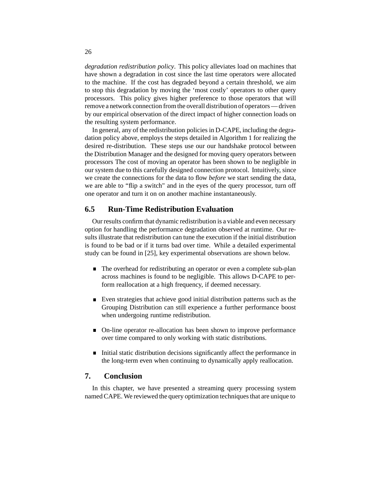*degradation redistribution policy*. This policy alleviates load on machines that have shown a degradation in cost since the last time operators were allocated to the machine. If the cost has degraded beyond a certain threshold, we aim to stop this degradation by moving the 'most costly' operators to other query processors. This policy gives higher preference to those operators that will remove a network connection from the overall distribution of operators — driven by our empirical observation of the direct impact of higher connection loads on the resulting system performance.

In general, any of the redistribution policies in D-CAPE, including the degradation policy above, employs the steps detailed in Algorithm 1 for realizing the desired re-distribution. These steps use our our handshake protocol between the Distribution Manager and the designed for moving query operators between processors The cost of moving an operator has been shown to be negligible in our system due to this carefully designed connection protocol. Intuitively, since we create the connections for the data to flow *before* we start sending the data, we are able to "flip a switch" and in the eyes of the query processor, turn off one operator and turn it on on another machine instantaneously.

### **6.5 Run-Time Redistribution Evaluation**

Our results confirm that dynamic redistribution is a viable and even necessary option for handling the performance degradation observed at runtime. Our results illustrate that redistribution can tune the execution if the initial distribution is found to be bad or if it turns bad over time. While a detailed experimental study can be found in [25], key experimental observations are shown below.

- The overhead for redistributing an operator or even a complete sub-plan across machines is found to be negligible. This allows D-CAPE to perform reallocation at a high frequency, if deemed necessary.
- Even strategies that achieve good initial distribution patterns such as the Grouping Distribution can still experience a further performance boost when undergoing runtime redistribution.
- On-line operator re-allocation has been shown to improve performance over time compared to only working with static distributions.
- Initial static distribution decisions significantly affect the performance in the long-term even when continuing to dynamically apply reallocation.

## **7. Conclusion**

In this chapter, we have presented a streaming query processing system named CAPE. We reviewed the query optimization techniques that are unique to

26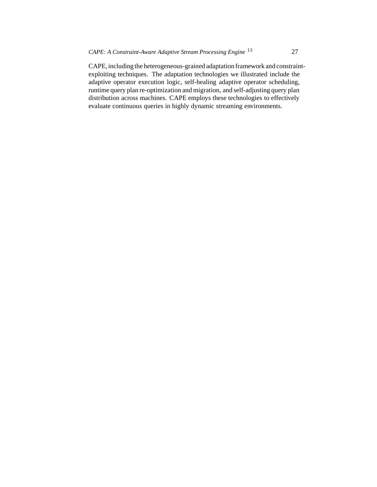CAPE, including the heterogeneous-grained adaptation framework and constraintexploiting techniques. The adaptation technologies we illustrated include the adaptive operator execution logic, self-healing adaptive operator scheduling, runtime query plan re-optimization and migration, and self-adjusting query plan distribution across machines. CAPE employs these technologies to effectively evaluate continuous queries in highly dynamic streaming environments.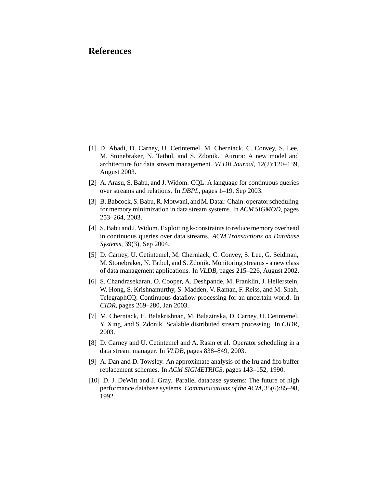# **References**

- [1] D. Abadi, D. Carney, U. Cetintemel, M. Cherniack, C. Convey, S. Lee, M. Stonebraker, N. Tatbul, and S. Zdonik. Aurora: A new model and architecture for data stream management. *VLDB Journal*, 12(2):120–139, August 2003.
- [2] A. Arasu, S. Babu, and J. Widom. CQL: A language for continuous queries over streams and relations. In *DBPL*, pages 1–19, Sep 2003.
- [3] B. Babcock, S. Babu, R. Motwani, and M. Datar. Chain: operator scheduling for memory minimization in data stream systems. In *ACM SIGMOD*, pages 253–264, 2003.
- [4] S. Babu and J. Widom. Exploiting k-constraints to reduce memory overhead in continuous queries over data streams. *ACM Transactions on Database Systems*, 39(3), Sep 2004.
- [5] D. Carney, U. Cetintemel, M. Cherniack, C. Convey, S. Lee, G. Seidman, M. Stonebraker, N. Tatbul, and S. Zdonik. Monitoring streams - a new class of data management applications. In *VLDB*, pages 215–226, August 2002.
- [6] S. Chandrasekaran, O. Cooper, A. Deshpande, M. Franklin, J. Hellerstein, W. Hong, S. Krishnamurthy, S. Madden, V. Raman, F. Reiss, and M. Shah. TelegraphCQ: Continuous dataflow processing for an uncertain world. In *CIDR*, pages 269–280, Jan 2003.
- [7] M. Cherniack, H. Balakrishnan, M. Balazinska, D. Carney, U. Cetintemel, Y. Xing, and S. Zdonik. Scalable distributed stream processing. In *CIDR*, 2003.
- [8] D. Carney and U. Cetintemel and A. Rasin et al. Operator scheduling in a data stream manager. In *VLDB*, pages 838–849, 2003.
- [9] A. Dan and D. Towsley. An approximate analysis of the lru and fifo buffer replacement schemes. In *ACM SIGMETRICS*, pages 143–152, 1990.
- [10] D. J. DeWitt and J. Gray. Parallel database systems: The future of high performance database systems. *Communications of the ACM*, 35(6):85–98, 1992.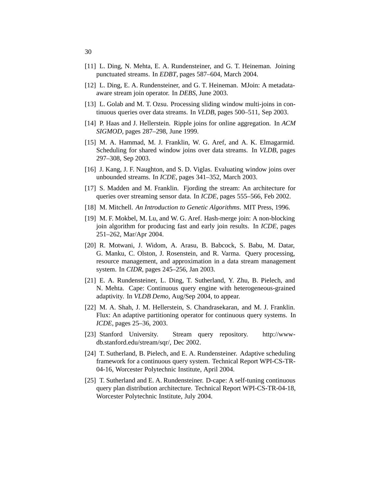- [11] L. Ding, N. Mehta, E. A. Rundensteiner, and G. T. Heineman. Joining punctuated streams. In *EDBT*, pages 587–604, March 2004.
- [12] L. Ding, E. A. Rundensteiner, and G. T. Heineman. MJoin: A metadataaware stream join operator. In *DEBS*, June 2003.
- [13] L. Golab and M. T. Ozsu. Processing sliding window multi-joins in continuous queries over data streams. In *VLDB*, pages 500–511, Sep 2003.
- [14] P. Haas and J. Hellerstein. Ripple joins for online aggregation. In *ACM SIGMOD*, pages 287–298, June 1999.
- [15] M. A. Hammad, M. J. Franklin, W. G. Aref, and A. K. Elmagarmid. Scheduling for shared window joins over data streams. In *VLDB*, pages 297–308, Sep 2003.
- [16] J. Kang, J. F. Naughton, and S. D. Viglas. Evaluating window joins over unbounded streams. In *ICDE*, pages 341–352, March 2003.
- [17] S. Madden and M. Franklin. Fjording the stream: An architecture for queries over streaming sensor data. In *ICDE*, pages 555–566, Feb 2002.
- [18] M. Mitchell. *An Introduction to Genetic Algorithms*. MIT Press, 1996.
- [19] M. F. Mokbel, M. Lu, and W. G. Aref. Hash-merge join: A non-blocking join algorithm for producing fast and early join results. In *ICDE*, pages 251–262, Mar/Apr 2004.
- [20] R. Motwani, J. Widom, A. Arasu, B. Babcock, S. Babu, M. Datar, G. Manku, C. Olston, J. Rosenstein, and R. Varma. Query processing, resource management, and approximation in a data stream management system. In *CIDR*, pages 245–256, Jan 2003.
- [21] E. A. Rundensteiner, L. Ding, T. Sutherland, Y. Zhu, B. Pielech, and N. Mehta. Cape: Continuous query engine with heterogeneous-grained adaptivity. In *VLDB Demo*, Aug/Sep 2004, to appear.
- [22] M. A. Shah, J. M. Hellerstein, S. Chandrasekaran, and M. J. Franklin. Flux: An adaptive partitioning operator for continuous query systems. In *ICDE*, pages 25–36, 2003.
- [23] Stanford University. Stream query repository. http://wwwdb.stanford.edu/stream/sqr/, Dec 2002.
- [24] T. Sutherland, B. Pielech, and E. A. Rundensteiner. Adaptive scheduling framework for a continuous query system. Technical Report WPI-CS-TR-04-16, Worcester Polytechnic Institute, April 2004.
- [25] T. Sutherland and E. A. Rundensteiner. D-cape: A self-tuning continuous query plan distribution architecture. Technical Report WPI-CS-TR-04-18, Worcester Polytechnic Institute, July 2004.